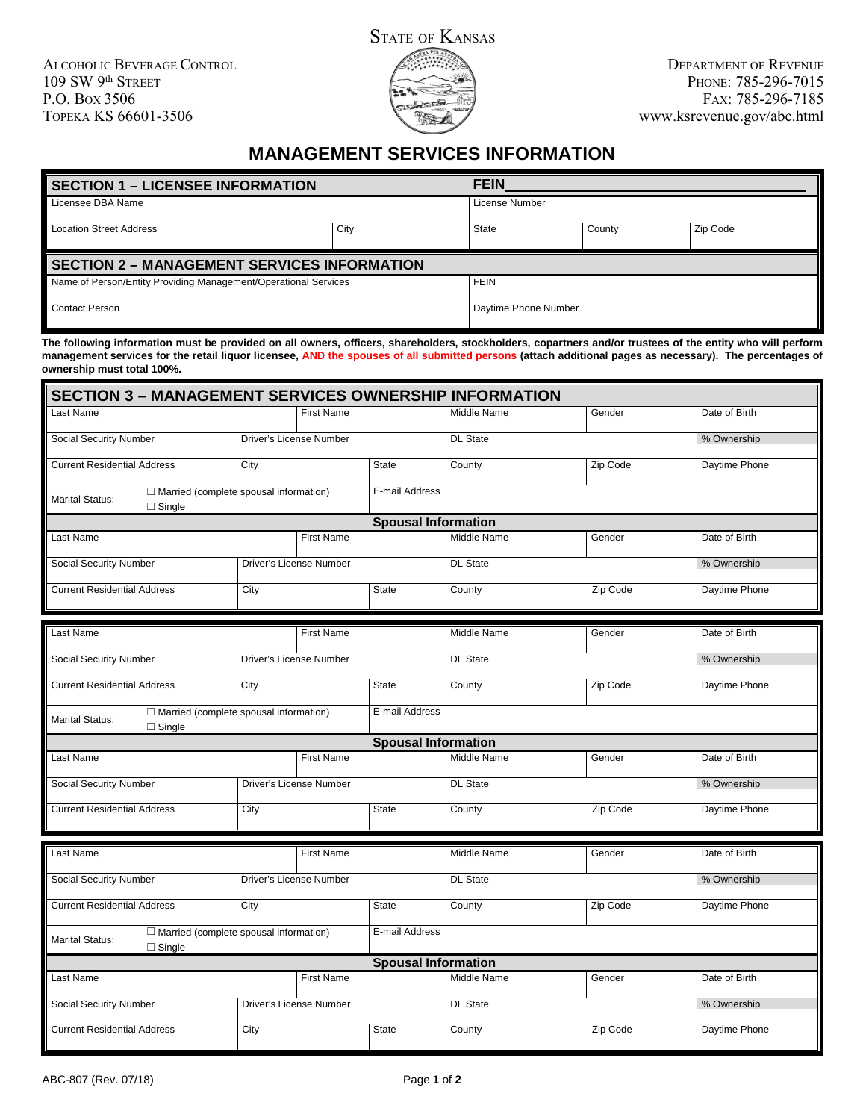

## **MANAGEMENT SERVICES INFORMATION**

| <b>SECTION 1 – LICENSEE INFORMATION</b>                         |      | <b>FEIN</b>    |        |          |  |
|-----------------------------------------------------------------|------|----------------|--------|----------|--|
| Licensee DBA Name                                               |      | License Number |        |          |  |
| <b>Location Street Address</b>                                  | City | State          | County | Zip Code |  |
| <b>SECTION 2 – MANAGEMENT SERVICES INFORMATION</b>              |      |                |        |          |  |
|                                                                 |      |                |        |          |  |
| Name of Person/Entity Providing Management/Operational Services |      | <b>FEIN</b>    |        |          |  |

**The following information must be provided on all owners, officers, shareholders, stockholders, copartners and/or trustees of the entity who will perform management services for the retail liquor licensee, AND the spouses of all submitted persons (attach additional pages as necessary). The percentages of ownership must total 100%.**

| <b>SECTION 3 - MANAGEMENT SERVICES OWNERSHIP INFORMATION</b>                             |                         |                         |                            |                 |          |               |
|------------------------------------------------------------------------------------------|-------------------------|-------------------------|----------------------------|-----------------|----------|---------------|
| Last Name                                                                                |                         | <b>First Name</b>       |                            | Middle Name     | Gender   | Date of Birth |
| <b>Social Security Number</b>                                                            | Driver's License Number |                         |                            | <b>DL State</b> |          | % Ownership   |
| <b>Current Residential Address</b>                                                       | City                    |                         | <b>State</b>               | County          | Zip Code | Daytime Phone |
| $\Box$ Married (complete spousal information)<br><b>Marital Status:</b><br>$\Box$ Single |                         |                         | E-mail Address             |                 |          |               |
|                                                                                          |                         |                         | <b>Spousal Information</b> |                 |          |               |
| Last Name                                                                                |                         | <b>First Name</b>       |                            | Middle Name     | Gender   | Date of Birth |
| Social Security Number                                                                   |                         | Driver's License Number |                            | <b>DL State</b> |          | % Ownership   |
| <b>Current Residential Address</b>                                                       | City                    |                         | <b>State</b>               | County          | Zip Code | Daytime Phone |
|                                                                                          |                         |                         |                            |                 |          |               |
| Last Name                                                                                |                         | <b>First Name</b>       |                            | Middle Name     | Gender   | Date of Birth |
| <b>Social Security Number</b>                                                            | Driver's License Number |                         |                            | <b>DL State</b> |          | % Ownership   |
| <b>Current Residential Address</b>                                                       | City                    |                         | <b>State</b>               | County          | Zip Code | Daytime Phone |
| □ Married (complete spousal information)<br><b>Marital Status:</b><br>$\Box$ Single      |                         |                         | E-mail Address             |                 |          |               |
|                                                                                          |                         |                         | <b>Spousal Information</b> |                 |          |               |
| Last Name                                                                                |                         | <b>First Name</b>       |                            | Middle Name     | Gender   | Date of Birth |
| <b>Social Security Number</b>                                                            |                         | Driver's License Number |                            | <b>DL State</b> |          | % Ownership   |
| <b>Current Residential Address</b>                                                       | City                    |                         | <b>State</b>               | County          | Zip Code | Daytime Phone |
|                                                                                          |                         |                         |                            |                 |          |               |
| Last Name                                                                                |                         | <b>First Name</b>       |                            | Middle Name     | Gender   | Date of Birth |
| <b>Social Security Number</b>                                                            | Driver's License Number |                         |                            | <b>DL State</b> |          | % Ownership   |
| <b>Current Residential Address</b>                                                       | City                    |                         | <b>State</b>               | County          | Zip Code | Daytime Phone |
| □ Married (complete spousal information)<br><b>Marital Status:</b><br>$\Box$ Single      |                         |                         | E-mail Address             |                 |          |               |
|                                                                                          |                         |                         | <b>Spousal Information</b> |                 |          |               |
| Last Name                                                                                |                         | <b>First Name</b>       |                            | Middle Name     | Gender   | Date of Birth |
| <b>Social Security Number</b>                                                            |                         | Driver's License Number |                            | <b>DL State</b> |          | % Ownership   |
| <b>Current Residential Address</b>                                                       | City                    |                         | <b>State</b>               | County          | Zip Code | Daytime Phone |